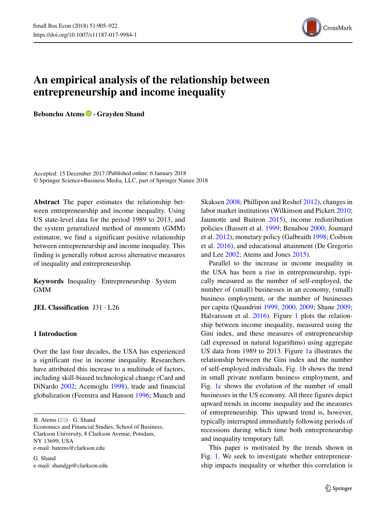

# **An empirical analysis of the relationship between entrepreneurship and income inequality**

**Bebonchu Atems · Grayden Shand**

Accepted: 15 December 2017 /Published online: 6 January 2018© Springer Science+Business Media, LLC, part of Springer Nature 2018

**Abstract** The paper estimates the relationship between entrepreneurship and income inequality. Using US state-level data for the period 1989 to 2013, and the system generalized method of moments (GMM) estimator, we find a significant positive relationship between entrepreneurship and income inequality. This finding is generally robust across alternative measures of inequality and entrepreneurship.

**Keywords** Inequality · Entrepreneurship · System GMM

**JEL Classification** J31 · L26

## **1 Introduction**

Over the last four decades, the USA has experienced a significant rise in income inequality. Researchers have attributed this increase to a multitude of factors, including skill-biased technological change (Card and DiNardo [2002;](#page-15-0) Acemoglu [1998\)](#page-15-1), trade and financial globalization (Feenstra and Hanson [1996;](#page-16-0) Munch and

G. Shand e-mail: [shandgp@clarkson.edu](mailto:shandgp@clarkson.edu)

Skaksen [2008;](#page-16-1) Phillipon and Reshef [2012\)](#page-16-2), changes in labor market institutions (Wilkinson and Pickett [2010;](#page-17-0) Jaumotte and Buitron [2015\)](#page-16-3), income redistribution policies (Bassett et al. [1999;](#page-15-2) Benabou [2000;](#page-15-3) Joumard et al. [2012\)](#page-16-4), monetary policy (Galbraith [1998;](#page-16-5) Coibion et al. [2016\)](#page-15-4), and educational attainment (De Gregorio and Lee [2002;](#page-16-6) Atems and Jones [2015\)](#page-15-5).

Parallel to the increase in income inequality in the USA has been a rise in entrepreneurship, typically measured as the number of self-employed, the number of (small) businesses in an economy, (small) business employment, or the number of businesses per capita (Quandrini [1999,](#page-16-7) [2000,](#page-17-1) [2009;](#page-17-2) Shane [2009;](#page-17-3) Halvarsson et al. [2016\)](#page-16-8). Figure [1](#page-1-0) plots the relationship between income inequality, measured using the Gini index, and these measures of entrepreneurship (all expressed in natural logarithms) using aggregate US data from 1989 to 2013. Figure [1a](#page-1-0) illustrates the relationship between the Gini index and the number of self-employed individuals, Fig. [1b](#page-1-0) shows the trend in small private nonfarm business employment, and Fig. [1c](#page-1-0) shows the evolution of the number of small businesses in the US economy. All three figures depict upward trends in income inequality and the measures of entrepreneurship. This upward trend is, however, typically interrupted immediately following periods of recessions during which time both entrepreneurship and inequality temporary fall.

This paper is motivated by the trends shown in Fig. [1.](#page-1-0) We seek to investigate whether entrepreneurship impacts inequality or whether this correlation is

B. Atems  $(\boxtimes) \cdot G$ . Shand

Economics and Financial Studies, School of Business, Clarkson University, 8 Clarkson Avenue, Potsdam, NY 13699, USA e-mail: [batems@clarkson.edu](mailto:batems@clarkson.edu)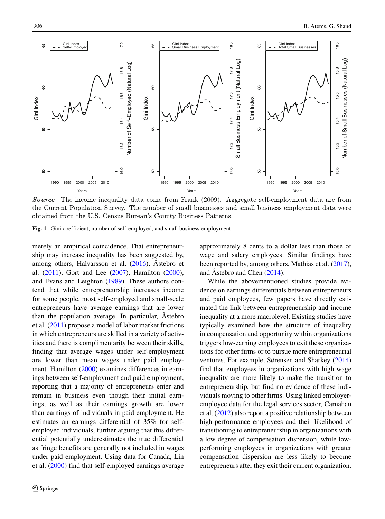<span id="page-1-0"></span>

**Source** The income inequality data come from Frank (2009). Aggregate self-employment data are from the Current Population Survey. The number of small businesses and small business employment data were obtained from the U.S. Census Bureau's County Business Patterns.

**Fig. 1** Gini coefficient, number of self-employed, and small business employment

merely an empirical coincidence. That entrepreneurship may increase inequality has been suggested by, among others, Halvarsson et al.  $(2016)$ , Åstebro et al. [\(2011\)](#page-15-6), Gort and Lee [\(2007\)](#page-16-9), Hamilton [\(2000\)](#page-16-10), and Evans and Leighton [\(1989\)](#page-16-11). These authors contend that while entrepreneurship increases income for some people, most self-employed and small-scale entrepreneurs have average earnings that are lower than the population average. In particular, Astebro et al. [\(2011\)](#page-15-6) propose a model of labor market frictions in which entrepreneurs are skilled in a variety of activities and there is complimentarity between their skills, finding that average wages under self-employment are lower than mean wages under paid employment. Hamilton [\(2000\)](#page-16-10) examines differences in earnings between self-employment and paid employment, reporting that a majority of entrepreneurs enter and remain in business even though their initial earnings, as well as their earnings growth are lower than earnings of individuals in paid employment. He estimates an earnings differential of 35% for selfemployed individuals, further arguing that this differential potentially underestimates the true differential as fringe benefits are generally not included in wages under paid employment. Using data for Canada, Lin et al. [\(2000\)](#page-16-12) find that self-employed earnings average

approximately 8 cents to a dollar less than those of wage and salary employees. Similar findings have been reported by, among others, Mathias et al. [\(2017\)](#page-16-13), and Åstebro and Chen  $(2014)$  $(2014)$ .

While the abovementioned studies provide evidence on earnings differentials between entrepreneurs and paid employees, few papers have directly estimated the link between entrepreneurship and income inequality at a more macrolevel. Existing studies have typically examined how the structure of inequality in compensation and opportunity within organizations triggers low-earning employees to exit these organizations for other firms or to pursue more entrepreneurial ventures. For example, Sørensen and Sharkey [\(2014\)](#page-17-4) find that employees in organizations with high wage inequality are more likely to make the transition to entrepreneurship, but find no evidence of these individuals moving to other firms. Using linked employeremployee data for the legal services sector, Carnahan et al. [\(2012\)](#page-15-8) also report a positive relationship between high-performance employees and their likelihood of transitioning to entrepreneurship in organizations with a low degree of compensation dispersion, while lowperforming employees in organizations with greater compensation dispersion are less likely to become entrepreneurs after they exit their current organization.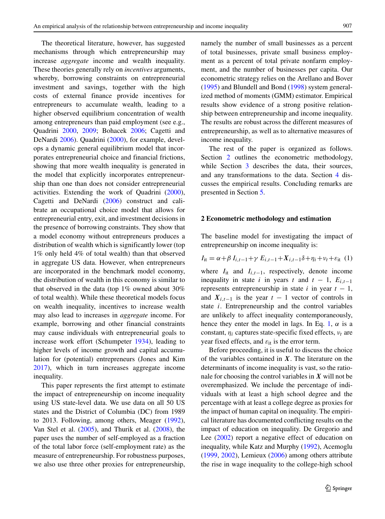The theoretical literature, however, has suggested mechanisms through which entrepreneurship may increase *aggregate* income and wealth inequality. These theories generally rely on *incentives* arguments, whereby, borrowing constraints on entrepreneurial investment and savings, together with the high costs of external finance provide incentives for entrepreneurs to accumulate wealth, leading to a higher observed equilibrium concentration of wealth among entrepreneurs than paid employment (see e.g., Quadrini [2000,](#page-17-1) [2009;](#page-17-2) Bohacek [2006;](#page-15-9) Cagetti and DeNardi [2006\)](#page-15-10). Quadrini [\(2000\)](#page-17-1), for example, develops a dynamic general equilibrium model that incorporates entrepreneurial choice and financial frictions, showing that more wealth inequality is generated in the model that explicitly incorporates entrepreneurship than one than does not consider entrepreneurial activities. Extending the work of Quadrini [\(2000\)](#page-17-1), Cagetti and DeNardi [\(2006\)](#page-15-10) construct and calibrate an occupational choice model that allows for entrepreneurial entry, exit, and investment decisions in the presence of borrowing constraints. They show that a model economy without entrepreneurs produces a distribution of wealth which is significantly lower (top 1% only held 4% of total wealth) than that observed in aggregate US data. However, when entrepreneurs are incorporated in the benchmark model economy, the distribution of wealth in this economy is similar to that observed in the data (top 1% owned about 30% of total wealth). While these theoretical models focus on wealth inequality, incentives to increase wealth may also lead to increases in *aggregate* income. For example, borrowing and other financial constraints may cause individuals with entrepreneurial goals to increase work effort (Schumpeter [1934\)](#page-17-5), leading to higher levels of income growth and capital accumulation for (potential) entrepreneurs (Jones and Kim [2017\)](#page-16-14), which in turn increases aggregate income inequality.

This paper represents the first attempt to estimate the impact of entrepreneurship on income inequality using US state-level data. We use data on all 50 US states and the District of Columbia (DC) from 1989 to 2013. Following, among others, Meager [\(1992\)](#page-16-15), Van Stel et al. [\(2005\)](#page-17-6), and Thurik et al. [\(2008\)](#page-17-7), the paper uses the number of self-employed as a fraction of the total labor force (self-employment rate) as the measure of entrepreneurship. For robustness purposes, we also use three other proxies for entrepreneurship, namely the number of small businesses as a percent of total businesses, private small business employment as a percent of total private nonfarm employment, and the number of businesses per capita. Our econometric strategy relies on the Arellano and Bover [\(1995\)](#page-15-11) and Blundell and Bond [\(1998\)](#page-15-12) system generalized method of moments (GMM) estimator. Empirical results show evidence of a strong positive relationship between entrepreneurship and income inequality. The results are robust across the different measures of entrepreneurship, as well as to alternative measures of income inequality.

The rest of the paper is organized as follows. Section [2](#page-2-0) outlines the econometric methodology, while Section [3](#page-4-0) describes the data, their sources, and any transformations to the data. Section [4](#page-6-0) discusses the empirical results. Concluding remarks are presented in Section [5.](#page-14-0)

#### <span id="page-2-0"></span>**2 Econometric methodology and estimation**

<span id="page-2-1"></span>The baseline model for investigating the impact of entrepreneurship on income inequality is:

$$
I_{it} = \alpha + \beta I_{i,t-1} + \gamma E_{i,t-1} + X_{i,t-1}\delta + \eta_i + \nu_t + \varepsilon_{it} \tag{1}
$$

where  $I_{it}$  and  $I_{i,t-1}$ , respectively, denote income inequality in state *i* in years *t* and  $t - 1$ ,  $E_{i,t-1}$ represents entrepreneurship in state  $i$  in year  $t - 1$ , and  $X_{i,t-1}$  is the year  $t-1$  vector of controls in state *i*. Entrepreneurship and the control variables are unlikely to affect inequality contemporaneously, hence they enter the model in lags. In Eq. [1,](#page-2-1)  $\alpha$  is a constant,  $\eta_i$  captures state-specific fixed effects,  $v_t$  are year fixed effects, and  $\varepsilon_{it}$  is the error term.

Before proceeding, it is useful to discuss the choice of the variables contained in *X*. The literature on the determinants of income inequality is vast, so the rationale for choosing the control variables in *X* will not be overemphasized. We include the percentage of individuals with at least a high school degree and the percentage with at least a college degree as proxies for the impact of human capital on inequality. The empirical literature has documented conflicting results on the impact of education on inequality. De Gregorio and Lee [\(2002\)](#page-16-6) report a negative effect of education on inequality, while Katz and Murphy [\(1992\)](#page-16-16), Acemoglu [\(1999,](#page-15-13) [2002\)](#page-15-14), Lemieux [\(2006\)](#page-16-17) among others attribute the rise in wage inequality to the college-high school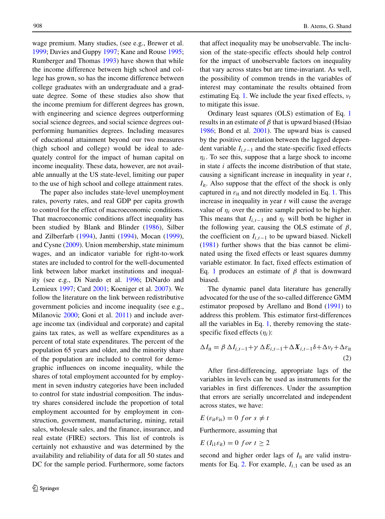wage premium. Many studies, (see e.g., Brewer et al. [1999;](#page-15-15) Davies and Guppy [1997;](#page-16-18) Kane and Rouse [1995;](#page-16-19) Rumberger and Thomas [1993\)](#page-17-8) have shown that while the income difference between high school and college has grown, so has the income difference between college graduates with an undergraduate and a graduate degree. Some of these studies also show that the income premium for different degrees has grown, with engineering and science degrees outperforming social science degrees, and social science degrees outperforming humanities degrees. Including measures of educational attainment beyond our two measures (high school and college) would be ideal to adequately control for the impact of human capital on income inequality. These data, however, are not available annually at the US state-level, limiting our paper to the use of high school and college attainment rates.

The paper also includes state-level unemployment rates, poverty rates, and real GDP per capita growth to control for the effect of macroeconomic conditions. That macroeconomic conditions affect inequality has been studied by Blank and Blinder [\(1986\)](#page-15-16), Silber and Zilberfarb [\(1994\)](#page-17-9), Jantti [\(1994\)](#page-16-20), Mocan [\(1999\)](#page-16-21), and Cysne [\(2009\)](#page-16-22). Union membership, state minimum wages, and an indicator variable for right-to-work states are included to control for the well-documented link between labor market institutions and inequality (see e.g., Di Nardo et al. [1996;](#page-16-23) DiNardo and Lemieux [1997;](#page-16-24) Card [2001;](#page-15-17) Koeniger et al. [2007\)](#page-16-25). We follow the literature on the link between redistributive government policies and income inequality (see e.g., Milanovic [2000;](#page-16-26) Goni et al. [2011\)](#page-16-27) and include average income tax (individual and corporate) and capital gains tax rates, as well as welfare expenditures as a percent of total state expenditures. The percent of the population 65 years and older, and the minority share of the population are included to control for demographic influences on income inequality, while the shares of total employment accounted for by employment in seven industry categories have been included to control for state industrial composition. The industry shares considered include the proportion of total employment accounted for by employment in construction, government, manufacturing, mining, retail sales, wholesale sales, and the finance, insurance, and real estate (FIRE) sectors. This list of controls is certainly not exhaustive and was determined by the availability and reliability of data for all 50 states and DC for the sample period. Furthermore, some factors

that affect inequality may be unobservable. The inclusion of the state-specific effects should help control for the impact of unobservable factors on inequality that vary across states but are time-invariant. As well, the possibility of common trends in the variables of interest may contaminate the results obtained from estimating Eq. [1.](#page-2-1) We include the year fixed effects,  $v_t$ to mitigate this issue.

Ordinary least squares (OLS) estimation of Eq. [1](#page-2-1) results in an estimate of *β* that is upward biased (Hsiao [1986;](#page-16-28) Bond et al. [2001\)](#page-15-18). The upward bias is caused by the positive correlation between the lagged dependent variable *Ii,t*−<sup>1</sup> and the state-specific fixed effects *ηi*. To see this, suppose that a large shock to income in state *i* affects the income distribution of that state, causing a significant increase in inequality in year *t*, *I*<sub>it</sub>. Also suppose that the effect of the shock is only captured in  $\varepsilon_{it}$  and not directly modeled in Eq. [1.](#page-2-1) This increase in inequality in year *t* will cause the average value of  $\eta_i$  over the entire sample period to be higher. This means that  $I_{i,t-1}$  and  $\eta_i$  will both be higher in the following year, causing the OLS estimate of *β*, the coefficient on  $I_{i,t-1}$  to be upward biased. Nickell [\(1981\)](#page-16-29) further shows that the bias cannot be eliminated using the fixed effects or least squares dummy variable estimator. In fact, fixed effects estimation of Eq. [1](#page-2-1) produces an estimate of *β* that is downward biased.

The dynamic panel data literature has generally advocated for the use of the so-called difference GMM estimator proposed by Arellano and Bond [\(1991\)](#page-15-19) to address this problem. This estimator first-differences all the variables in Eq. [1,](#page-2-1) thereby removing the statespecific fixed effects (*ηi*):

<span id="page-3-0"></span>
$$
\Delta I_{it} = \beta \Delta I_{i,t-1} + \gamma \Delta E_{i,t-1} + \Delta X_{i,t-1} \delta + \Delta \nu_t + \Delta \varepsilon_{it}
$$
\n(2)

After first-differencing, appropriate lags of the variables in levels can be used as instruments for the variables in first differences. Under the assumption that errors are serially uncorrelated and independent across states, we have:

 $E(\varepsilon_{\text{it}}\varepsilon_{\text{is}}) = 0 \text{ for } s \neq t$ 

Furthermore, assuming that

$$
E(I_{i1}\varepsilon_{it})=0 \ for \ t\geq 2
$$

second and higher order lags of  $I_{it}$  are valid instru-ments for Eq. [2.](#page-3-0) For example,  $I_{i,1}$  can be used as an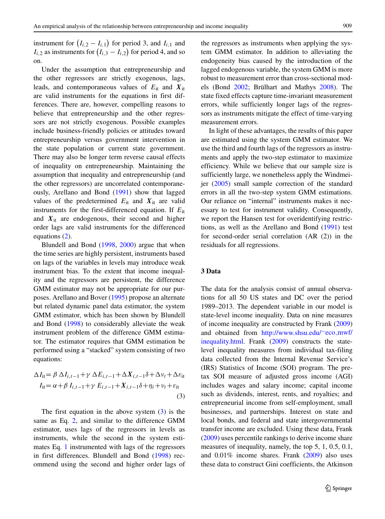instrument for  $(I_{i,2} - I_{i,1})$  for period 3, and  $I_{i,1}$  and  $I_{i,2}$  as instruments for  $(I_{i,3} - I_{i,2})$  for period 4, and so on.

Under the assumption that entrepreneurship and the other regressors are strictly exogenous, lags, leads, and contemporaneous values of *E*it and *X*it are valid instruments for the equations in first differences. There are, however, compelling reasons to believe that entrepreneurship and the other regressors are not strictly exogenous. Possible examples include business-friendly policies or attitudes toward entrepreneurship versus government intervention in the state population or current state government. There may also be longer term reverse causal effects of inequality on entrepreneurship. Maintaining the assumption that inequality and entrepreneurship (and the other regressors) are uncorrelated contemporaneously, Arellano and Bond [\(1991\)](#page-15-19) show that lagged values of the predetermined  $E_{it}$  and  $X_{it}$  are valid instruments for the first-differenced equation. If *E*it and  $X_{it}$  are endogenous, their second and higher order lags are valid instruments for the differenced equations [\(2\)](#page-3-0).

Blundell and Bond [\(1998,](#page-15-12) [2000\)](#page-15-20) argue that when the time series are highly persistent, instruments based on lags of the variables in levels may introduce weak instrument bias. To the extent that income inequality and the regressors are persistent, the difference GMM estimator may not be appropriate for our purposes. Arellano and Bover [\(1995\)](#page-15-11) propose an alternate but related dynamic panel data estimator, the system GMM estimator, which has been shown by Blundell and Bond [\(1998\)](#page-15-12) to considerably alleviate the weak instrument problem of the difference GMM estimator. The estimator requires that GMM estimation be performed using a "stacked" system consisting of two equations:

<span id="page-4-1"></span>
$$
\Delta I_{it} = \beta \Delta I_{i,t-1} + \gamma \Delta E_{i,t-1} + \Delta X_{i,t-1} \delta + \Delta \nu_t + \Delta \varepsilon_{it}
$$
  
\n
$$
I_{it} = \alpha + \beta I_{i,t-1} + \gamma E_{i,t-1} + X_{i,t-1} \delta + \eta_i + \nu_t + \varepsilon_{it}
$$
\n(3)

The first equation in the above system  $(3)$  is the same as Eq. [2,](#page-3-0) and similar to the difference GMM estimator, uses lags of the regressors in levels as instruments, while the second in the system estimates Eq. [1](#page-2-1) instrumented with lags of the regressors in first differences. Blundell and Bond [\(1998\)](#page-15-12) recommend using the second and higher order lags of

the regressors as instruments when applying the system GMM estimator. In addition to alleviating the endogeneity bias caused by the introduction of the lagged endogenous variable, the system GMM is more robust to measurement error than cross-sectional models (Bond  $2002$ ; Brülhart and Mathys  $2008$ ). The state fixed effects capture time-invariant measurement errors, while sufficiently longer lags of the regressors as instruments mitigate the effect of time-varying measurement errors.

In light of these advantages, the results of this paper are estimated using the system GMM estimator. We use the third and fourth lags of the regressors as instruments and apply the two-step estimator to maximize efficiency. While we believe that our sample size is sufficiently large, we nonetheless apply the Windmeijer [\(2005\)](#page-17-10) small sample correction of the standard errors in all the two-step system GMM estimations. Our reliance on "internal" instruments makes it necessary to test for instrument validity. Consequently, we report the Hansen test for overidentifying restrictions, as well as the Arellano and Bond [\(1991\)](#page-15-19) test for second-order serial correlation (AR (2)) in the residuals for all regressions.

#### <span id="page-4-0"></span>**3 Data**

The data for the analysis consist of annual observations for all 50 US states and DC over the period 1989–2013. The dependent variable in our model is state-level income inequality. Data on nine measures of income inequality are constructed by Frank [\(2009\)](#page-16-30) and obtained from [http://www.shsu.edu/](http://www.shsu.edu/~eco_mwf/inequality.html)∼eco mwf/ [inequality.html.](http://www.shsu.edu/~eco_mwf/inequality.html) Frank [\(2009\)](#page-16-30) constructs the statelevel inequality measures from individual tax-filing data collected from the Internal Revenue Service's (IRS) Statistics of Income (SOI) program. The pretax SOI measure of adjusted gross income (AGI) includes wages and salary income; capital income such as dividends, interest, rents, and royalties; and entrepreneurial income from self-employment, small businesses, and partnerships. Interest on state and local bonds, and federal and state intergovernmental transfer income are excluded. Using these data, Frank [\(2009\)](#page-16-30) uses percentile rankings to derive income share measures of inequality, namely, the top 5, 1, 0.5, 0.1, and 0.01% income shares. Frank [\(2009\)](#page-16-30) also uses these data to construct Gini coefficients, the Atkinson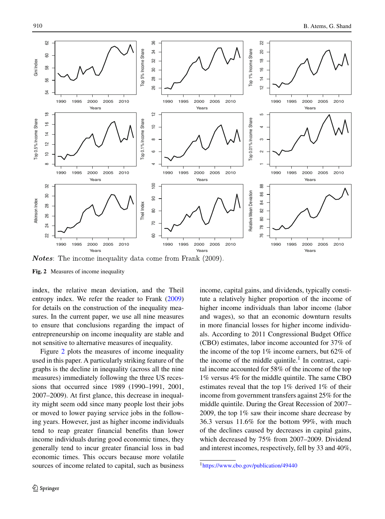<span id="page-5-0"></span>

**Notes:** The income inequality data come from Frank (2009).

**Fig. 2** Measures of income inequality

index, the relative mean deviation, and the Theil entropy index. We refer the reader to Frank [\(2009\)](#page-16-30) for details on the construction of the inequality measures. In the current paper, we use all nine measures to ensure that conclusions regarding the impact of entrepreneurship on income inequality are stable and not sensitive to alternative measures of inequality.

Figure [2](#page-5-0) plots the measures of income inequality used in this paper. A particularly striking feature of the graphs is the decline in inequality (across all the nine measures) immediately following the three US recessions that occurred since 1989 (1990–1991, 2001, 2007–2009). At first glance, this decrease in inequality might seem odd since many people lost their jobs or moved to lower paying service jobs in the following years. However, just as higher income individuals tend to reap greater financial benefits than lower income individuals during good economic times, they generally tend to incur greater financial loss in bad economic times. This occurs because more volatile sources of income related to capital, such as business

income, capital gains, and dividends, typically constitute a relatively higher proportion of the income of higher income individuals than labor income (labor and wages), so that an economic downturn results in more financial losses for higher income individuals. According to 2011 Congressional Budget Office (CBO) estimates, labor income accounted for 37% of the income of the top 1% income earners, but 62% of the income of the middle quintile.<sup>1</sup> In contrast, capital income accounted for 58% of the income of the top 1% versus 4% for the middle quintile. The same CBO estimates reveal that the top 1% derived 1% of their income from government transfers against 25% for the middle quintile. During the Great Recession of 2007– 2009, the top 1% saw their income share decrease by 36.3 versus 11.6% for the bottom 99%, with much of the declines caused by decreases in capital gains, which decreased by 75% from 2007–2009. Dividend and interest incomes, respectively, fell by 33 and 40%,

<span id="page-5-1"></span>[<sup>1</sup>https://www.cbo.gov/publication/49440](https://www.cbo.gov/publication/49440)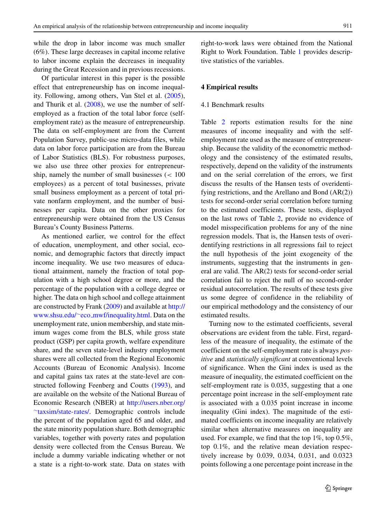while the drop in labor income was much smaller (6%). These large decreases in capital income relative to labor income explain the decreases in inequality during the Great Recession and in previous recessions.

Of particular interest in this paper is the possible effect that entrepreneurship has on income inequality. Following, among others, Van Stel et al. [\(2005\)](#page-17-6), and Thurik et al.  $(2008)$ , we use the number of selfemployed as a fraction of the total labor force (selfemployment rate) as the measure of entrepreneurship. The data on self-employment are from the Current Population Survey, public-use micro-data files, while data on labor force participation are from the Bureau of Labor Statistics (BLS). For robustness purposes, we also use three other proxies for entrepreneurship, namely the number of small businesses (*<* 100 employees) as a percent of total businesses, private small business employment as a percent of total private nonfarm employment, and the number of businesses per capita. Data on the other proxies for entrepreneurship were obtained from the US Census Bureau's County Business Patterns.

As mentioned earlier, we control for the effect of education, unemployment, and other social, economic, and demographic factors that directly impact income inequality. We use two measures of educational attainment, namely the fraction of total population with a high school degree or more, and the percentage of the population with a college degree or higher. The data on high school and college attainment are constructed by Frank [\(2009\)](#page-16-30) and available at [http://](http://www.shsu.edu/~eco_mwf/inequality.html) www.shsu.edu/∼eco [mwf/inequality.html.](http://www.shsu.edu/~eco_mwf/inequality.html) Data on the unemployment rate, union membership, and state minimum wages come from the BLS, while gross state product (GSP) per capita growth, welfare expenditure share, and the seven state-level industry employment shares were all collected from the Regional Economic Accounts (Bureau of Economic Analysis). Income and capital gains tax rates at the state-level are constructed following Feenberg and Coutts [\(1993\)](#page-16-31), and are available on the website of the National Bureau of Economic Research (NBER) at [http://users.nber.org/](http://users.nber.org/~taxsim/state-rates/) ∼[taxsim/state-rates/.](http://users.nber.org/~taxsim/state-rates/) Demographic controls include the percent of the population aged 65 and older, and the state minority population share. Both demographic variables, together with poverty rates and population density were collected from the Census Bureau. We include a dummy variable indicating whether or not a state is a right-to-work state. Data on states with right-to-work laws were obtained from the National Right to Work Foundation. Table [1](#page-7-0) provides descriptive statistics of the variables.

#### <span id="page-6-0"></span>**4 Empirical results**

#### 4.1 Benchmark results

Table [2](#page-8-0) reports estimation results for the nine measures of income inequality and with the selfemployment rate used as the measure of entrepreneurship. Because the validity of the econometric methodology and the consistency of the estimated results, respectively, depend on the validity of the instruments and on the serial correlation of the errors, we first discuss the results of the Hansen tests of overidentifying restrictions, and the Arellano and Bond (AR(2)) tests for second-order serial correlation before turning to the estimated coefficients. These tests, displayed on the last rows of Table [2,](#page-8-0) provide no evidence of model misspecification problems for any of the nine regression models. That is, the Hansen tests of overidentifying restrictions in all regressions fail to reject the null hypothesis of the joint exogeneity of the instruments, suggesting that the instruments in general are valid. The AR(2) tests for second-order serial correlation fail to reject the null of no second-order residual autocorrelation. The results of these tests give us some degree of confidence in the reliability of our empirical methodology and the consistency of our estimated results.

Turning now to the estimated coefficients, several observations are evident from the table. First, regardless of the measure of inequality, the estimate of the coefficient on the self-employment rate is always *positive* and *statistically significant* at conventional levels of significance. When the Gini index is used as the measure of inequality, the estimated coefficient on the self-employment rate is 0.035, suggesting that a one percentage point increase in the self-employment rate is associated with a 0.035 point increase in income inequality (Gini index). The magnitude of the estimated coefficients on income inequality are relatively similar when alternative measures on inequality are used. For example, we find that the top 1%, top 0.5%, top 0.1%, and the relative mean deviation respectively increase by 0.039, 0.034, 0.031, and 0.0323 points following a one percentage point increase in the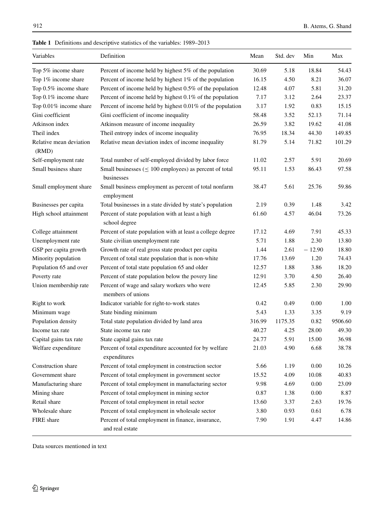# <span id="page-7-0"></span>**Table 1** Definitions and descriptive statistics of the variables: 1989–2013

| Variables                        | Definition                                                                 | Mean   | Std. dev | Min      | Max     |
|----------------------------------|----------------------------------------------------------------------------|--------|----------|----------|---------|
| Top 5% income share              | Percent of income held by highest 5% of the population                     | 30.69  | 5.18     | 18.84    | 54.43   |
| Top 1% income share              | Percent of income held by highest 1% of the population                     | 16.15  | 4.50     | 8.21     | 36.07   |
| Top 0.5% income share            | Percent of income held by highest 0.5% of the population                   | 12.48  | 4.07     | 5.81     | 31.20   |
| Top 0.1% income share            | Percent of income held by highest $0.1\%$ of the population                | 7.17   | 3.12     | 2.64     | 23.37   |
| Top 0.01% income share           | Percent of income held by highest 0.01% of the population                  | 3.17   | 1.92     | 0.83     | 15.15   |
| Gini coefficient                 | Gini coefficient of income inequality                                      | 58.48  | 3.52     | 52.13    | 71.14   |
| Atkinson index                   | Atkinson measure of income inequality                                      | 26.59  | 3.82     | 19.62    | 41.08   |
| Theil index                      | Theil entropy index of income inequality                                   | 76.95  | 18.34    | 44.30    | 149.85  |
| Relative mean deviation<br>(RMD) | Relative mean deviation index of income inequality                         | 81.79  | 5.14     | 71.82    | 101.29  |
| Self-employment rate             | Total number of self-employed divided by labor force                       | 11.02  | 2.57     | 5.91     | 20.69   |
| Small business share             | Small businesses ( $\leq 100$ employees) as percent of total<br>businesses | 95.11  | 1.53     | 86.43    | 97.58   |
| Small employment share           | Small business employment as percent of total nonfarm<br>employment        | 38.47  | 5.61     | 25.76    | 59.86   |
| Businesses per capita            | Total businesses in a state divided by state's population                  | 2.19   | 0.39     | 1.48     | 3.42    |
| High school attainment           | Percent of state population with at least a high<br>school degree          | 61.60  | 4.57     | 46.04    | 73.26   |
| College attainment               | Percent of state population with at least a college degree                 | 17.12  | 4.69     | 7.91     | 45.33   |
| Unemployment rate                | State civilian unemployment rate                                           | 5.71   | 1.88     | 2.30     | 13.80   |
| GSP per capita growth            | Growth rate of real gross state product per capita                         | 1.44   | 2.61     | $-12.90$ | 18.80   |
| Minority population              | Percent of total state population that is non-white                        | 17.76  | 13.69    | 1.20     | 74.43   |
| Population 65 and over           | Percent of total state population 65 and older                             | 12.57  | 1.88     | 3.86     | 18.20   |
| Poverty rate                     | Percent of state population below the povery line                          | 12.91  | 3.70     | 4.50     | 26.40   |
| Union membership rate            | Percent of wage and salary workers who were<br>members of unions           | 12.45  | 5.85     | 2.30     | 29.90   |
| Right to work                    | Indicator variable for right-to-work states                                | 0.42   | 0.49     | 0.00     | 1.00    |
| Minimum wage                     | State binding minimum                                                      | 5.43   | 1.33     | 3.35     | 9.19    |
| Population density               | Total state population divided by land area                                | 316.99 | 1175.35  | 0.82     | 9506.60 |
| Income tax rate                  | State income tax rate                                                      | 40.27  | 4.25     | 28.00    | 49.30   |
| Capital gains tax rate           | State capital gains tax rate                                               | 24.77  | 5.91     | 15.00    | 36.98   |
| Welfare expenditure              | Percent of total expenditure accounted for by welfare<br>expenditures      | 21.03  | 4.90     | 6.68     | 38.78   |
| Construction share               | Percent of total employment in construction sector                         | 5.66   | 1.19     | $0.00\,$ | 10.26   |
| Government share                 | Percent of total employment in government sector                           | 15.52  | 4.09     | 10.08    | 40.83   |
| Manufacturing share              | Percent of total employment in manufacturing sector                        | 9.98   | 4.69     | 0.00     | 23.09   |
| Mining share                     | Percent of total employment in mining sector                               | 0.87   | 1.38     | 0.00     | 8.87    |
| Retail share                     | Percent of total employment in retail sector                               | 13.60  | 3.37     | 2.63     | 19.76   |
| Wholesale share                  | Percent of total employment in wholesale sector                            | 3.80   | 0.93     | 0.61     | 6.78    |
| FIRE share                       | Percent of total employment in finance, insurance,<br>and real estate      | 7.90   | 1.91     | 4.47     | 14.86   |

Data sources mentioned in text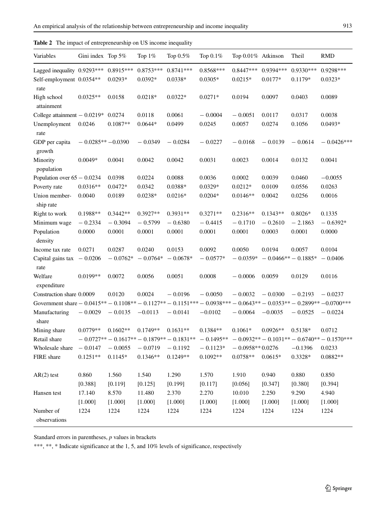| Variables                                                                                               | Gini index Top 5%  |                          | Top $1\%$                | Top $0.5\%$                                  | Тор 0.1%                 | Top 0.01% Atkinson       |                         | Theil                    | <b>RMD</b>                                   |
|---------------------------------------------------------------------------------------------------------|--------------------|--------------------------|--------------------------|----------------------------------------------|--------------------------|--------------------------|-------------------------|--------------------------|----------------------------------------------|
| Lagged inequality 0.9293***<br>Self-employment 0.0354**                                                 |                    | $0.8915***$<br>$0.0293*$ | $0.8753***$<br>$0.0392*$ | $0.8741***$<br>$0.0338*$                     | $0.8568***$<br>$0.0305*$ | $0.8447***$<br>$0.0215*$ | 0.9394 ***<br>$0.0177*$ | $0.9330***$<br>$0.1179*$ | 0.9298***<br>$0.0323*$                       |
| rate<br>High school                                                                                     | $0.0325**$         | 0.0158                   | $0.0218*$                | $0.0322*$                                    | $0.0271*$                | 0.0194                   | 0.0097                  | 0.0403                   | 0.0089                                       |
| attainment                                                                                              |                    |                          |                          |                                              |                          |                          |                         |                          |                                              |
| College attainment $-0.0219*$                                                                           |                    | 0.0274                   | 0.0118                   | 0.0061                                       | $-0.0004$                | $-0.0051$                | 0.0117                  | 0.0317                   | 0.0038                                       |
| Unemployment<br>rate                                                                                    | 0.0246             | $0.1087**$               | $0.0644*$                | 0.0499                                       | 0.0245                   | 0.0057                   | 0.0274                  | 0.1056                   | $0.0493*$                                    |
| GDP per capita<br>growth                                                                                | $-0.0285**-0.0390$ |                          | $-0.0349$                | $-0.0284$                                    | $-0.0227$                | $-0.0168$                | $-0.0139$               | $-0.0614$                | $-0.0426***$                                 |
| Minority<br>population                                                                                  | $0.0049*$          | 0.0041                   | 0.0042                   | 0.0042                                       | 0.0031                   | 0.0023                   | 0.0014                  | 0.0132                   | 0.0041                                       |
| Population over $65 - 0.0234$                                                                           |                    | 0.0398                   | 0.0224                   | 0.0088                                       | 0.0036                   | 0.0002                   | 0.0039                  | 0.0460                   | $-0.0055$                                    |
| Poverty rate                                                                                            | $0.0316**$         | $0.0472*$                | 0.0342                   | 0.0388*                                      | $0.0329*$                | $0.0212*$                | 0.0109                  | 0.0556                   | 0.0263                                       |
| Union member-<br>ship rate                                                                              | 0.0040             | 0.0189                   | $0.0238*$                | $0.0216*$                                    | $0.0204*$                | $0.0146**$               | 0.0042                  | 0.0256                   | 0.0016                                       |
| Right to work                                                                                           | $0.1988**$         | $0.3442**$               | $0.3927**$               | $0.3931**$                                   | $0.3271**$               | $0.2316**$               | $0.1343**$              | $0.8026*$                | 0.1335                                       |
| Minimum wage                                                                                            | $-0.2334$          | $-0.3094$                | $-0.5799$                | $-0.6380$                                    | $-0.4415$                | $-0.1710$                | $-0.2610$               | $-2.1863$                | $-0.6392*$                                   |
| Population<br>density                                                                                   | 0.0000             | 0.0001                   | 0.0001                   | 0.0001                                       | 0.0001                   | 0.0001                   | 0.0003                  | 0.0001                   | 0.0000                                       |
| Income tax rate                                                                                         | 0.0271             | 0.0287                   | 0.0240                   | 0.0153                                       | 0.0092                   | 0.0050                   | 0.0194                  | 0.0057                   | 0.0104                                       |
| Capital gains tax $-0.0206$<br>rate                                                                     |                    | $-0.0762*$               | $-0.0764*$               | $-0.0678*$                                   | $-0.0577*$               | $-0.0359*$               | $-0.0466** - 0.1885*$   |                          | $-0.0406$                                    |
| Welfare<br>expenditure                                                                                  | $0.0199**$         | 0.0072                   | 0.0056                   | 0.0051                                       | 0.0008                   | $-0.0006$                | 0.0059                  | 0.0129                   | 0.0116                                       |
| Construction share 0.0009                                                                               |                    | 0.0120                   | 0.0024                   | $-0.0196$                                    | $-0.0050$                | $-0.0032$                | $-0.0300$               | $-0.2193$                | $-0.0237$                                    |
| Government share $-0.0415**-0.1108**-0.1127**-0.1151***-0.0938***-0.0643**-0.0353**-0.2899**-0.0700***$ |                    |                          |                          |                                              |                          |                          |                         |                          |                                              |
| Manufacturing<br>share                                                                                  | $-0.0029$          | $-0.0135$                | $-0.0113$                | $-0.0141$                                    | $-0.0102$                | $-0.0064$                | $-0.0035$               | $-0.0525$                | $-0.0224$                                    |
| Mining share                                                                                            | $0.0779**$         | $0.1602**$               | $0.1749**$               | $0.1631**$                                   | $0.1384**$               | $0.1061*$                | $0.0926**$              | 0.5138*                  | 0.0712                                       |
| Retail share                                                                                            |                    |                          |                          | $-0.0727** - 0.1617** - 0.1879** - 0.1831**$ | $-0.1495**$              |                          |                         |                          | $-0.0932** - 0.1031** - 0.6740** - 0.1570**$ |
| Wholesale share                                                                                         | $-0.0147$          | $-0.0055$                | $-0.0719$                | $-0.1192$                                    | $-0.1123*$               | $-0.0958**0.0276$        |                         | $-0.1396$                | 0.0233                                       |
| FIRE share                                                                                              | $0.1251**$         | $0.1145*$                | $0.1346**$               | $0.1249**$                                   | $0.1092**$               | $0.0758**$               | $0.0615*$               | 0.3328*                  | $0.0882**$                                   |
| $AR(2)$ test                                                                                            | 0.860              | 1.560                    | 1.540                    | 1.290                                        | 1.570                    | 1.910                    | 0.940                   | 0.880                    | 0.850                                        |
|                                                                                                         | [0.388]            | [0.119]                  | [0.125]                  | [0.199]                                      | [0.117]                  | [0.056]                  | [0.347]                 | [0.380]                  | [0.394]                                      |
| Hansen test                                                                                             | 17.140             | 8.570                    | 11.480                   | 2.370                                        | 2.270                    | 10.010                   | 2.250                   | 9.290                    | 4.940                                        |
|                                                                                                         | [1.000]            | [1.000]                  | [1.000]                  | [1.000]                                      | [1.000]                  | [1.000]                  | [1.000]                 | [1.000]                  | [1.000]                                      |
| Number of<br>observations                                                                               | 1224               | 1224                     | 1224                     | 1224                                         | 1224                     | 1224                     | 1224                    | 1224                     | 1224                                         |

<span id="page-8-0"></span>**Table 2** The impact of entrepreneurship on US income inequality

\*\*\*, \*\*, \* Indicate significance at the 1, 5, and 10% levels of significance, respectively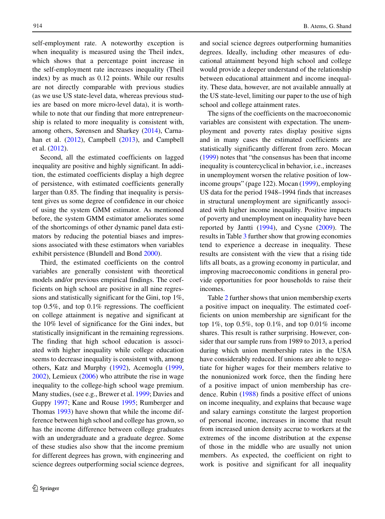self-employment rate. A noteworthy exception is when inequality is measured using the Theil index, which shows that a percentage point increase in the self-employment rate increases inequality (Theil index) by as much as 0.12 points. While our results are not directly comparable with previous studies (as we use US state-level data, whereas previous studies are based on more micro-level data), it is worthwhile to note that our finding that more entrepreneurship is related to more inequality is consistent with, among others, Sørensen and Sharkey [\(2014\)](#page-17-4), Carnahan et al. [\(2012\)](#page-15-8), Campbell [\(2013\)](#page-15-23), and Campbell et al. [\(2012\)](#page-15-24).

Second, all the estimated coefficients on lagged inequality are positive and highly significant. In addition, the estimated coefficients display a high degree of persistence, with estimated coefficients generally larger than 0.85. The finding that inequality is persistent gives us some degree of confidence in our choice of using the system GMM estimator. As mentioned before, the system GMM estimator ameliorates some of the shortcomings of other dynamic panel data estimators by reducing the potential biases and impressions associated with these estimators when variables exhibit persistence (Blundell and Bond [2000\)](#page-15-20).

Third, the estimated coefficients on the control variables are generally consistent with theoretical models and/or previous empirical findings. The coefficients on high school are positive in all nine regressions and statistically significant for the Gini, top 1%, top 0.5%, and top 0.1% regressions. The coefficient on college attainment is negative and significant at the 10% level of significance for the Gini index, but statistically insignificant in the remaining regressions. The finding that high school education is associated with higher inequality while college education seems to decrease inequality is consistent with, among others, Katz and Murphy [\(1992\)](#page-16-16), Acemoglu [\(1999,](#page-15-13) [2002\)](#page-15-14), Lemieux [\(2006\)](#page-16-17) who attribute the rise in wage inequality to the college-high school wage premium. Many studies, (see e.g., Brewer et al. [1999;](#page-15-15) Davies and Guppy [1997;](#page-16-18) Kane and Rouse [1995;](#page-16-19) Rumberger and Thomas [1993\)](#page-17-8) have shown that while the income difference between high school and college has grown, so has the income difference between college graduates with an undergraduate and a graduate degree. Some of these studies also show that the income premium for different degrees has grown, with engineering and science degrees outperforming social science degrees,

and social science degrees outperforming humanities degrees. Ideally, including other measures of educational attainment beyond high school and college would provide a deeper understand of the relationship between educational attainment and income inequality. These data, however, are not available annually at the US state-level, limiting our paper to the use of high school and college attainment rates.

The signs of the coefficients on the macroeconomic variables are consistent with expectation. The unemployment and poverty rates display positive signs and in many cases the estimated coefficients are statistically significantly different from zero. Mocan [\(1999\)](#page-16-21) notes that "the consensus has been that income inequality is countercyclical in behavior, i.e., increases in unemployment worsen the relative position of lowincome groups" (page 122). Mocan [\(1999\)](#page-16-21), employing US data for the period 1948–1994 finds that increases in structural unemployment are significantly associated with higher income inequality. Positive impacts of poverty and unemployment on inequality have been reported by Jantti [\(1994\)](#page-16-20), and Cysne [\(2009\)](#page-16-22). The results in Table [3](#page-10-0) further show that growing economies tend to experience a decrease in inequality. These results are consistent with the view that a rising tide lifts all boats, as a growing economy in particular, and improving macroeconomic conditions in general provide opportunities for poor households to raise their incomes.

Table [2](#page-8-0) further shows that union membership exerts a positive impact on inequality. The estimated coefficients on union membership are significant for the top 1%, top 0.5%, top 0.1%, and top 0.01% income shares. This result is rather surprising. However, consider that our sample runs from 1989 to 2013, a period during which union membership rates in the USA have considerably reduced. If unions are able to negotiate for higher wages for their members relative to the nonunionized work force, then the finding here of a positive impact of union membership has credence. Rubin [\(1988\)](#page-17-11) finds a positive effect of unions on income inequality, and explains that because wage and salary earnings constitute the largest proportion of personal income, increases in income that result from increased union density accrue to workers at the extremes of the income distribution at the expense of those in the middle who are usually not union members. As expected, the coefficient on right to work is positive and significant for all inequality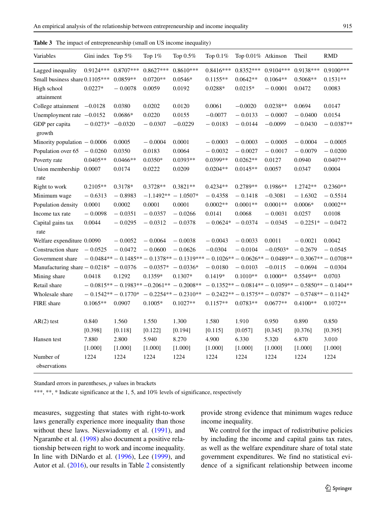| Variables                                | Gini index Top 5% |                       | Top 1%              | Top 0.5%                                                                                             | Top 0.1%    | Top 0.01% Atkinson                                      |             | Theil                 | <b>RMD</b>  |
|------------------------------------------|-------------------|-----------------------|---------------------|------------------------------------------------------------------------------------------------------|-------------|---------------------------------------------------------|-------------|-----------------------|-------------|
| Lagged inequality                        | $0.9124***$       | $0.8707***$           | $0.8627***$         | $0.8610***$                                                                                          | $0.8416***$ | $0.8352***$                                             | $0.9104***$ | $0.9138***$           | $0.9100***$ |
| Small business share 0.1105***           |                   | $0.0859**$            | $0.0720**$          | $0.0546*$                                                                                            | $0.1155**$  | $0.0642**$                                              | $0.1064**$  | $0.5068**$            | $0.1531**$  |
| High school<br>attainment                | $0.0227*$         | $-0.0078$             | 0.0059              | 0.0192                                                                                               | $0.0288*$   | $0.0215*$                                               | $-0.0001$   | 0.0472                | 0.0083      |
| College attainment $-0.0128$             |                   | 0.0380                | 0.0202              | 0.0120                                                                                               | 0.0061      | $-0.0020$                                               | $0.0238**$  | 0.0694                | 0.0147      |
| Unemployment rate $-0.0152$              |                   | 0.0686*               | 0.0220              | 0.0155                                                                                               | $-0.0077$   | $-0.0133$                                               | $-0.0007$   | $-0.0400$             | 0.0154      |
| GDP per capita<br>growth                 | $-0.0273*$        | $-0.0320$             | $-0.0307$           | $-0.0229$                                                                                            | $-0.0183$   | $-0.0144$                                               | $-0.0099$   | $-0.0430$             | $-0.0387**$ |
| Minority population $-0.0006$            |                   | 0.0005                | $-0.0004$           | 0.0001                                                                                               | $-0.0003$   | $-0.0003$                                               | $-0.0005$   | $-0.0004$             | $-0.0005$   |
| Population over 65                       | $-0.0260$         | 0.0350                | 0.0183              | 0.0064                                                                                               | $-0.0032$   | $-0.0027$                                               | $-0.0017$   | $-0.0079$             | $-0.0200$   |
| Poverty rate                             | $0.0405**$        | $0.0466**$            | $0.0350*$           | $0.0393**$                                                                                           | 0.0399**    | $0.0262**$                                              | 0.0127      | 0.0940                | $0.0407**$  |
| Union membership<br>rate                 | 0.0007            | 0.0174                | 0.0222              | 0.0209                                                                                               | $0.0204**$  | $0.0145**$                                              | 0.0057      | 0.0347                | 0.0004      |
| Right to work                            | $0.2105**$        | 0.3178*               | $0.3728**$          | $0.3821**$                                                                                           | $0.4234**$  | $0.2789**$                                              | $0.1986**$  | $1.2742**$            | $0.2360**$  |
| Minimum wage                             | $-0.6313$         | $-0.8983$             | $-1.1492**$         | $-1.0507*$                                                                                           | $-0.4358$   | $-0.1418$                                               | $-0.3081$   | $-1.6302$             | $-0.5514$   |
| Population density                       | 0.0001            | 0.0002                | 0.0001              | 0.0001                                                                                               | $0.0002**$  | $0.0001**$                                              | $0.0001**$  | $0.0006*$             | $0.0002**$  |
| Income tax rate                          | $-0.0098$         | $-0.0351$             | $-0.0357$           | $-0.0266$                                                                                            | 0.0141      | 0.0068                                                  | $-0.0031$   | 0.0257                | 0.0108      |
| Capital gains tax<br>rate                | 0.0044            | $-0.0295$             | $-0.0312$           | $-0.0378$                                                                                            | $-0.0624*$  | $-0.0374$                                               | $-0.0345$   | $-0.2251*$            | $-0.0472$   |
| Welfare expenditure 0.0090               |                   | $-0.0052$             | $-0.0064$           | $-0.0038$                                                                                            | $-0.0043$   | $-0.0033$                                               | 0.0011      | $-0.0021$             | 0.0042      |
| Construction share                       | $-0.0525$         | $-0.0472$             | $-0.0600$           | $-0.0626$                                                                                            | $-0.0304$   | $-0.0104$                                               | $-0.0503*$  | $-0.2679$             | $-0.0545$   |
| Government share                         |                   |                       |                     | $-0.0484** - 0.1485** - 0.1378** - 0.1319*** - 0.1026** - 0.0626** - 0.0489** - 0.3067** - 0.0708**$ |             |                                                         |             |                       |             |
| Manufacturing share $-0.0218^* - 0.0376$ |                   |                       | $-0.0357* -0.0336*$ |                                                                                                      | $-0.0180$   | $-0.0103$                                               | $-0.0115$   | $-0.0694$             | $-0.0304$   |
| Mining share                             | 0.0418            | 0.1292                | 0.1359*             | $0.1307*$                                                                                            | $0.1419*$   | $0.1010**$                                              | $0.1000**$  | $0.5549**$            | 0.0703      |
| Retail share                             |                   |                       |                     | $-0.0815** - 0.1983** - 0.2061** - 0.2008**$                                                         |             | $-0.1352** - 0.0814** - 0.1059** - 0.5850** - 0.1404**$ |             |                       |             |
| Wholesale share                          |                   | $-0.1542** - 0.1770*$ |                     | $-0.2254** - 0.2310**$                                                                               |             | $-0.2422** - 0.1575** - 0.0787*$                        |             | $-0.5748** - 0.1142*$ |             |
| FIRE share                               | $0.1065**$        | 0.0907                | $0.1005*$           | $0.1027**$                                                                                           | $0.1157**$  | $0.0783**$                                              | $0.0677**$  | $0.4100**$            | $0.1072**$  |
| $AR(2)$ test                             | 0.840             | 1.560                 | 1.550               | 1.300                                                                                                | 1.580       | 1.910                                                   | 0.950       | 0.890                 | 0.850       |
|                                          | [0.398]           | [0.118]               | [0.122]             | [0.194]                                                                                              | [0.115]     | [0.057]                                                 | [0.345]     | [0.376]               | [0.395]     |
| Hansen test                              | 7.880             | 2.800                 | 5.940               | 8.270                                                                                                | 4.900       | 6.330                                                   | 5.320       | 6.870                 | 3.010       |
|                                          | [1.000]           | [1.000]               | [1.000]             | [1.000]                                                                                              | [1.000]     | [1.000]                                                 | [1.000]     | [1.000]               | [1.000]     |
| Number of<br>observations                | 1224              | 1224                  | 1224                | 1224                                                                                                 | 1224        | 1224                                                    | 1224        | 1224                  | 1224        |

<span id="page-10-0"></span>**Table 3** The impact of entrepreneurship (small on US income inequality)

\*\*\*, \*\*, \* Indicate significance at the 1, 5, and 10% levels of significance, respectively

measures, suggesting that states with right-to-work laws generally experience more inequality than those without these laws. Nieswiadomy et al. [\(1991\)](#page-16-32), and Ngarambe et al. [\(1998\)](#page-16-33) also document a positive relationship between right to work and income inequality. In line with DiNardo et al. [\(1996\)](#page-16-23), Lee [\(1999\)](#page-16-34), and Autor et al. [\(2016\)](#page-15-25), our results in Table [2](#page-8-0) consistently

provide strong evidence that minimum wages reduce income inequality.

We control for the impact of redistributive policies by including the income and capital gains tax rates, as well as the welfare expenditure share of total state government expenditures. We find no statistical evidence of a significant relationship between income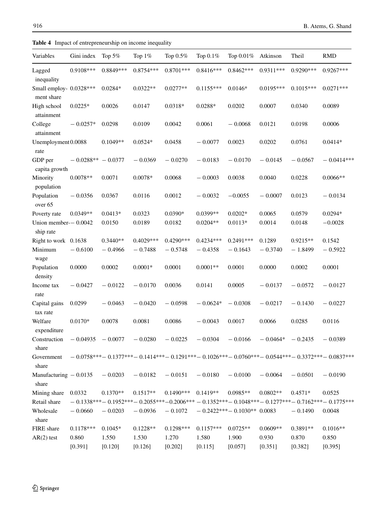<span id="page-11-0"></span>

|  |  |  | Table 4 Impact of entrepreneurship on income inequality |  |  |  |
|--|--|--|---------------------------------------------------------|--|--|--|
|--|--|--|---------------------------------------------------------|--|--|--|

| Variables                             | Gini index  | Top 5%     | Top $1\%$   | Top 0.5%    | Top 0.1%    | Top 0.01%                   | Atkinson    | Theil       | <b>RMD</b>                                                                                   |
|---------------------------------------|-------------|------------|-------------|-------------|-------------|-----------------------------|-------------|-------------|----------------------------------------------------------------------------------------------|
| Lagged<br>inequality                  | $0.9108***$ | 0.8849***  | $0.8754***$ | $0.8701***$ | $0.8416***$ | $0.8462***$                 | $0.9311***$ | $0.9290***$ | $0.9267***$                                                                                  |
| Small employ- 0.0328***<br>ment share |             | $0.0284*$  | $0.0322**$  | $0.0277**$  | $0.1155***$ | $0.0146*$                   | $0.0195***$ | $0.1015***$ | $0.0271***$                                                                                  |
| High school<br>attainment             | $0.0225*$   | 0.0026     | 0.0147      | $0.0318*$   | $0.0288*$   | 0.0202                      | 0.0007      | 0.0340      | 0.0089                                                                                       |
| College<br>attainment                 | $-0.0257*$  | 0.0298     | 0.0109      | 0.0042      | 0.0061      | $-0.0068$                   | 0.0121      | 0.0198      | 0.0006                                                                                       |
| Unemployment 0.0088<br>rate           |             | $0.1049**$ | $0.0524*$   | 0.0458      | $-0.0077$   | 0.0023                      | 0.0202      | 0.0761      | $0.0414*$                                                                                    |
| GDP per<br>capita growth              | $-0.0288**$ | $-0.0377$  | $-0.0369$   | $-0.0270$   | $-0.0183$   | $-0.0170$                   | $-0.0145$   | $-0.0567$   | $-0.0414***$                                                                                 |
| Minority<br>population                | $0.0078**$  | 0.0071     | $0.0078*$   | 0.0068      | $-0.0003$   | 0.0038                      | 0.0040      | 0.0228      | $0.0066**$                                                                                   |
| Population<br>over 65                 | $-0.0356$   | 0.0367     | 0.0116      | 0.0012      | $-0.0032$   | $-0.0055$                   | $-0.0007$   | 0.0123      | $-0.0134$                                                                                    |
| Poverty rate                          | $0.0349**$  | $0.0413*$  | 0.0323      | $0.0390*$   | $0.0399**$  | $0.0202*$                   | 0.0065      | 0.0579      | $0.0294*$                                                                                    |
| Union member- $-0.0042$<br>ship rate  |             | 0.0150     | 0.0189      | 0.0182      | $0.0204**$  | $0.0113*$                   | 0.0014      | 0.0148      | $-0.0028$                                                                                    |
| Right to work 0.1638                  |             | $0.3440**$ | $0.4029***$ | $0.4290***$ | $0.4234***$ | $0.2491***$                 | 0.1289      | $0.9215**$  | 0.1542                                                                                       |
| Minimum<br>wage                       | $-0.6100$   | $-0.4966$  | $-0.7488$   | $-0.5748$   | $-0.4358$   | $-0.1643$                   | $-0.3740$   | $-1.8499$   | $-0.5922$                                                                                    |
| Population<br>density                 | 0.0000      | 0.0002     | $0.0001*$   | 0.0001      | $0.0001**$  | 0.0001                      | 0.0000      | 0.0002      | 0.0001                                                                                       |
| Income tax<br>rate                    | $-0.0427$   | $-0.0122$  | $-0.0170$   | 0.0036      | 0.0141      | 0.0005                      | $-0.0137$   | $-0.0572$   | $-0.0127$                                                                                    |
| Capital gains<br>tax rate             | 0.0299      | $-0.0463$  | $-0.0420$   | $-0.0598$   | $-0.0624*$  | $-0.0308$                   | $-0.0217$   | $-0.1430$   | $-0.0227$                                                                                    |
| Welfare<br>expenditure                | $0.0170*$   | 0.0078     | 0.0081      | 0.0086      | $-0.0043$   | 0.0017                      | 0.0066      | 0.0285      | 0.0116                                                                                       |
| Construction<br>share                 | $-0.04935$  | $-0.0077$  | $-0.0280$   | $-0.0225$   | $-0.0304$   | $-0.0166$                   | $-0.0464*$  | $-0.2435$   | $-0.0389$                                                                                    |
| Government<br>share                   |             |            |             |             |             |                             |             |             | $-0.0758***-0.1377***-0.1414***-0.1291***-0.1026***-0.0760***-0.0544***-0.3372***-0.0837***$ |
| Manufacturing $-0.0135$<br>share      |             | $-0.0203$  | $-0.0182$   | $-0.0151$   | $-0.0180$   | $-0.0100$                   | $-0.0064$   | $-0.0501$   | $-0.0190$                                                                                    |
| Mining share                          | 0.0332      | $0.1370**$ | $0.1517**$  | $0.1490***$ | $0.1419**$  | $0.0985**$                  | $0.0802**$  | $0.4571*$   | 0.0525                                                                                       |
| Retail share                          |             |            |             |             |             |                             |             |             | $-0.1338***-0.1952***-0.2055***-0.2006***-0.1352***-0.1048***-0.1277***-0.7162***-0.1775***$ |
| Wholesale<br>share                    | $-0.0660$   | $-0.0203$  | $-0.0936$   | $-0.1072$   |             | $-0.2422***-0.1030**0.0083$ |             | $-0.1490$   | 0.0048                                                                                       |
| FIRE share                            | $0.1178***$ | $0.1045*$  | $0.1228**$  | $0.1298***$ | $0.1157***$ | $0.0725**$                  | $0.0609**$  | 0.3891**    | $0.1016**$                                                                                   |
| $AR(2)$ test                          | 0.860       | 1.550      | 1.530       | 1.270       | 1.580       | 1.900                       | 0.930       | 0.870       | 0.850                                                                                        |
|                                       | [0.391]     | [0.120]    | [0.126]     | [0.202]     | [0.115]     | [0.057]                     | [0.351]     | [0.382]     | [0.395]                                                                                      |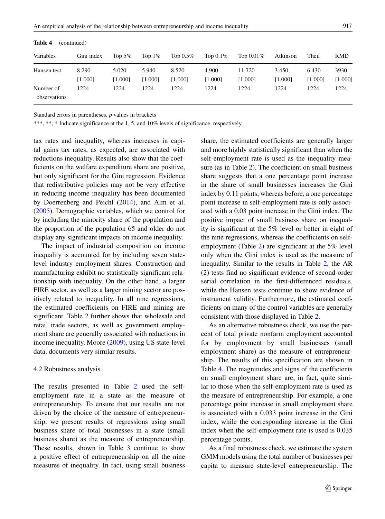| Variables                 | Gini index       | Top 5%           | Top $1\%$        | Top $0.5\%$      | Top $0.1\%$      | Top $0.01\%$      | Atkinson         | Theil            | RMD             |
|---------------------------|------------------|------------------|------------------|------------------|------------------|-------------------|------------------|------------------|-----------------|
| Hansen test               | 8.290<br>[1.000] | 5.020<br>[1.000] | 5.940<br>[1.000] | 8.520<br>[1.000] | 4.900<br>[1.000] | 11.720<br>[1.000] | 3.450<br>[1.000] | 6.430<br>[1.000] | 3930<br>[1.000] |
| Number of<br>observations | 1224             | 1224             | 1224             | 1224             | 1224             | 1224              | 1224             | 1224             | 1224            |

<span id="page-12-0"></span>**Table 4** (continued)

\*\*\*, \*\*, \* Indicate significance at the 1, 5, and 10% levels of significance, respectively

tax rates and inequality, whereas increases in capital gains tax rates, as expected, are associated with reductions inequality. Results also show that the coefficients on the welfare expenditure share are positive, but only significant for the Gini regression. Evidence that redistributive policies may not be very effective in reducing income inequality has been documented by Doerrenberg and Peichl [\(2014\)](#page-16-35), and Alm et al. [\(2005\)](#page-15-26). Demographic variables, which we control for by including the minority share of the population and the proportion of the population 65 and older do not display any significant impacts on income inequality.

The impact of industrial composition on income inequality is accounted for by including seven statelevel industry employment shares. Construction and manufacturing exhibit no statistically significant relationship with inequality. On the other hand, a larger FIRE sector, as well as a larger mining sector are positively related to inequality. In all nine regressions, the estimated coefficients on FIRE and mining are significant. Table [2](#page-8-0) further shows that wholesale and retail trade sectors, as well as government employment share are generally associated with reductions in income inequality. Moore [\(2009\)](#page-16-36), using US state-level data, documents very similar results.

#### 4.2 Robustness analysis

The results presented in Table [2](#page-8-0) used the selfemployment rate in a state as the measure of entrepreneurship. To ensure that our results are not driven by the choice of the measure of entrepreneurship, we present results of regressions using small business share of total businesses in a state (small business share) as the measure of entrepreneurship. These results, shown in Table [3](#page-10-0) continue to show a positive effect of entrepreneurship on all the nine measures of inequality. In fact, using small business share, the estimated coefficients are generally larger and more highly statistically significant than when the self-employment rate is used as the inequality measure (as in Table [2\)](#page-8-0). The coefficient on small business share suggests that a one percentage point increase in the share of small businesses increases the Gini index by 0.11 points, whereas before, a one percentage point increase in self-employment rate is only associated with a 0.03 point increase in the Gini index. The positive impact of small business share on inequality is significant at the 5% level or better in eight of the nine regressions, whereas the coefficients on selfemployment (Table [2\)](#page-8-0) are significant at the 5% level only when the Gini index is used as the measure of inequality. Similar to the results in Table [2,](#page-8-0) the AR (2) tests find no significant evidence of second-order serial correlation in the first-differenced residuals, while the Hansen tests continue to show evidence of instrument validity. Furthermore, the estimated coefficients on many of the control variables are generally consistent with those displayed in Table [2.](#page-8-0)

As an alternative robustness check, we use the percent of total private nonfarm employment accounted for by employment by small businesses (small employment share) as the measure of entrepreneurship. The results of this specification are shown in Table [4.](#page-11-0) The magnitudes and signs of the coefficients on small employment share are, in fact, quite similar to those when the self-employment rate is used as the measure of entrepreneurship. For example, a one percentage point increase in small employment share is associated with a 0.033 point increase in the Gini index, while the corresponding increase in the Gini index when the self-employment rate is used is 0.035 percentage points.

As a final robustness check, we estimate the system GMM models using the total number of businesses per capita to measure state-level entrepreneurship. The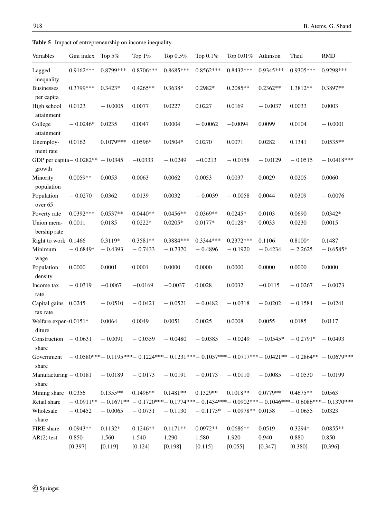| Variables                                      | Gini index            | Top $5%$             | Top $1\%$               | Top 0.5%                | Top 0.1%                 | Top 0.01%                                   | Atkinson            | Theil                | <b>RMD</b>                                                                                                            |
|------------------------------------------------|-----------------------|----------------------|-------------------------|-------------------------|--------------------------|---------------------------------------------|---------------------|----------------------|-----------------------------------------------------------------------------------------------------------------------|
| Lagged<br>inequality                           | $0.9162***$           | 0.8799***            | 0.8706***               | $0.8685***$             | $0.8562***$              | $0.8432***$                                 | $0.9345***$         | $0.9305***$          | 0.9298***                                                                                                             |
| <b>Businesses</b><br>per capita                | 0.3799***             | $0.3423*$            | $0.4265**$              | $0.3638*$               | 0.2982*                  | $0.2085**$                                  | $0.2362**$          | 1.3812**             | 0.3897**                                                                                                              |
| High school<br>attainment                      | 0.0123                | $-0.0005$            | 0.0077                  | 0.0227                  | 0.0227                   | 0.0169                                      | $-0.0037$           | 0.0033               | 0.0003                                                                                                                |
| College<br>attainment                          | $-0.0246*$            | 0.0235               | 0.0047                  | 0.0004                  | $-0.0062$                | $-0.0094$                                   | 0.0099              | 0.0104               | $-0.0001$                                                                                                             |
| Unemploy-<br>ment rate                         | 0.0162                | $0.1079***$          | $0.0596*$               | $0.0504*$               | 0.0270                   | 0.0071                                      | 0.0282              | 0.1341               | $0.0535**$                                                                                                            |
| GDP per capita - $0.0282** - 0.0345$<br>growth |                       |                      | $-0.0333$               | $-0.0249$               | $-0.0213$                | $-0.0158$                                   | $-0.0129$           | $-0.0515$            | $-0.0418***$                                                                                                          |
| Minority<br>population                         | $0.0059**$            | 0.0053               | 0.0063                  | 0.0062                  | 0.0053                   | 0.0037                                      | 0.0029              | 0.0205               | 0.0060                                                                                                                |
| Population<br>over 65                          | $-0.0270$             | 0.0362               | 0.0139                  | 0.0032                  | $-0.0039$                | $-0.0058$                                   | 0.0044              | 0.0309               | $-0.0076$                                                                                                             |
| Poverty rate<br>Union mem-<br>bership rate     | $0.0392***$<br>0.0011 | $0.0537**$<br>0.0185 | $0.0440**$<br>$0.0222*$ | $0.0456**$<br>$0.0205*$ | $0.0369**$<br>0.0177*    | $0.0245*$<br>$0.0128\ensuremath{^*}\xspace$ | 0.0103<br>0.0033    | 0.0690<br>0.0230     | $0.0342*$<br>0.0015                                                                                                   |
| Right to work 0.1466<br>Minimum<br>wage        | $-0.6849*$            | 0.3119*<br>$-0.4393$ | $0.3581**$<br>$-0.7433$ | 0.3884***<br>$-0.7370$  | $0.3344***$<br>$-0.4896$ | $0.2372***$<br>$-0.1920$                    | 0.1106<br>$-0.4234$ | 0.8100*<br>$-2.2625$ | 0.1487<br>$-0.6585*$                                                                                                  |
| Population<br>density                          | 0.0000                | 0.0001               | 0.0001                  | 0.0000                  | 0.0000                   | 0.0000                                      | 0.0000              | 0.0000               | 0.0000                                                                                                                |
| Income tax<br>rate                             | $-0.0319$             | $-0.0067$            | $-0.0169$               | $-0.0037$               | 0.0028                   | 0.0032                                      | $-0.0115$           | $-0.0267$            | $-0.0073$                                                                                                             |
| Capital gains<br>tax rate                      | 0.0245                | $-0.0510$            | $-0.0421$               | $-0.0521$               | $-0.0482$                | $-0.0318$                                   | $-0.0202$           | $-0.1584$            | $-0.0241$                                                                                                             |
| Welfare expen-0.0151*<br>diture                |                       | 0.0064               | 0.0049                  | 0.0051                  | 0.0025                   | 0.0008                                      | 0.0055              | 0.0185               | 0.0117                                                                                                                |
| Construction<br>share                          | $-0.0631$             | $-0.0091$            | $-0.0359$               | $-0.0480$               | $-0.0385$                | $-0.0249$                                   | $-0.0545*$          | $-0.2791*$           | $-0.0493$                                                                                                             |
| Government<br>share                            |                       |                      |                         |                         |                          |                                             |                     |                      | $-0.0580***-0.1195***-0.1224***-0.1231***-0.1057***-0.0717***-0.0421**-0.2864**-0.0679***$                            |
| Manufacturing $-0.0181$<br>share               |                       | $-0.0189$            | $-0.0173$               | $-0.0191$               | $-0.0173$                | $-0.0110$                                   | $-0.0085$           | $-0.0530$            | $-0.0199$                                                                                                             |
| Mining share 0.0356                            |                       | $0.1355**$           | $0.1496**$              | $0.1481**$              | $0.1329**$               | $0.1018**$                                  | $0.0779**$          | $0.4675**$           | 0.0563                                                                                                                |
| Retail share                                   |                       |                      |                         |                         |                          |                                             |                     |                      | $-0.0911^{**}-0.1671^{**}-0.1720^{***}-0.1774^{***}-0.1434^{***}-0.0902^{***}-0.1046^{***}-0.6086^{***}-0.1370^{***}$ |
| Wholesale<br>share                             | $-0.0452$             | $-0.0065$            | $-0.0731$               | $-0.1130$               | $-0.1175*$               | $-0.0978**0.0158$                           |                     | $-0.0655$            | 0.0323                                                                                                                |
| FIRE share                                     | $0.0943**$            | $0.1132*$            | $0.1246**$              | $0.1171**$              | $0.0972**$               | $0.0686**$                                  | 0.0519              | $0.3294*$            | $0.0855**$                                                                                                            |
| $AR(2)$ test                                   | 0.850                 | 1.560                | 1.540                   | 1.290                   | 1.580                    | 1.920                                       | 0.940               | 0.880                | 0.850                                                                                                                 |
|                                                | [0.397]               | [0.119]              | [0.124]                 | [0.198]                 | [0.115]                  | [0.055]                                     | [0.347]             | [0.380]              | [0.396]                                                                                                               |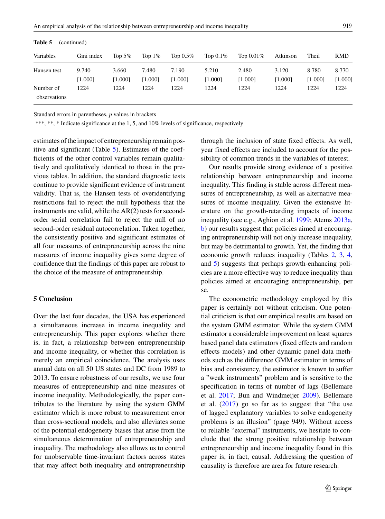| Variables                 | Gini index       | Top $5\%$        | Top $1\%$        | Top $0.5\%$      | Top $0.1\%$      | Top $0.01\%$     | Atkinson         | Theil            | RMD              |
|---------------------------|------------------|------------------|------------------|------------------|------------------|------------------|------------------|------------------|------------------|
| Hansen test               | 9.740<br>[1.000] | 3.660<br>[1.000] | 7.480<br>[1.000] | 7.190<br>[1.000] | 5.210<br>[1.000] | 2.480<br>[1.000] | 3.120<br>[1.000] | 8.780<br>[1.000] | 8.770<br>[1.000] |
| Number of<br>observations | 1224             | 1224             | 1224             | 1224             | 1224             | 1224             | 1224             | 1224             | 1224             |

**Table 5** (continued)

\*\*\*, \*\*, \* Indicate significance at the 1, 5, and 10% levels of significance, respectively

estimates of the impact of entrepreneurship remain positive and significant (Table [5\)](#page-12-0). Estimates of the coefficients of the other control variables remain qualitatively and qualitatively identical to those in the previous tables. In addition, the standard diagnostic tests continue to provide significant evidence of instrument validity. That is, the Hansen tests of overidentifying restrictions fail to reject the null hypothesis that the instruments are valid, while the AR(2) tests for secondorder serial correlation fail to reject the null of no second-order residual autocorrelation. Taken together, the consistently positive and significant estimates of all four measures of entrepreneurship across the nine measures of income inequality gives some degree of confidence that the findings of this paper are robust to the choice of the measure of entrepreneurship.

### <span id="page-14-0"></span>**5 Conclusion**

Over the last four decades, the USA has experienced a simultaneous increase in income inequality and entrepreneurship. This paper explores whether there is, in fact, a relationship between entrepreneurship and income inequality, or whether this correlation is merely an empirical coincidence. The analysis uses annual data on all 50 US states and DC from 1989 to 2013. To ensure robustness of our results, we use four measures of entrepreneurship and nine measures of income inequality. Methodologically, the paper contributes to the literature by using the system GMM estimator which is more robust to measurement error than cross-sectional models, and also alleviates some of the potential endogeneity biases that arise from the simultaneous determination of entrepreneurship and inequality. The methodology also allows us to control for unobservable time-invariant factors across states that may affect both inequality and entrepreneurship through the inclusion of state fixed effects. As well, year fixed effects are included to account for the possibility of common trends in the variables of interest.

Our results provide strong evidence of a positive relationship between entrepreneurship and income inequality. This finding is stable across different measures of entrepreneurship, as well as alternative measures of income inequality. Given the extensive literature on the growth-retarding impacts of income inequality (see e.g., Aghion et al. [1999;](#page-15-27) Atems [2013a,](#page-15-28) [b\)](#page-15-29) our results suggest that policies aimed at encouraging entrepreneurship will not only increase inequality, but may be detrimental to growth. Yet, the finding that economic growth reduces inequality (Tables [2,](#page-8-0) [3,](#page-10-0) [4,](#page-11-0) and [5\)](#page-12-0) suggests that perhaps growth-enhancing policies are a more effective way to reduce inequality than policies aimed at encouraging entrepreneurship, per se.

The econometric methodology employed by this paper is certainly not without criticism. One potential criticism is that our empirical results are based on the system GMM estimator. While the system GMM estimator a considerable improvement on least squares based panel data estimators (fixed effects and random effects models) and other dynamic panel data methods such as the difference GMM estimator in terms of bias and consistency, the estimator is known to suffer a "weak instruments" problem and is sensitive to the specification in terms of number of lags (Bellemare et al. [2017;](#page-15-30) Bun and Windmeijer [2009\)](#page-15-31). Bellemare et al. [\(2017\)](#page-15-30) go so far as to suggest that "the use of lagged explanatory variables to solve endogeneity problems is an illusion" (page 949). Without access to reliable "external" instruments, we hesitate to conclude that the strong positive relationship between entrepreneurship and income inequality found in this paper is, in fact, causal. Addressing the question of causality is therefore are area for future research.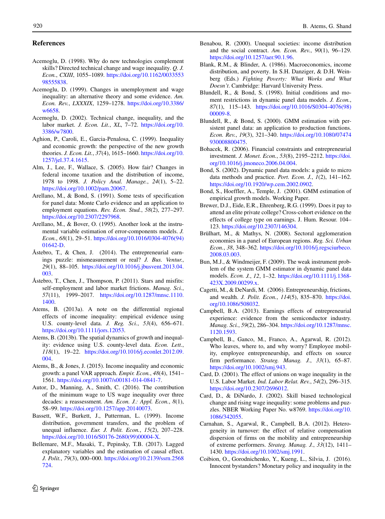#### **References**

- <span id="page-15-1"></span>Acemoglu, D. (1998). Why do new technologies complement skills? Directed technical change and wage inequality. *Q. J. Econ.*, *CXIII*, 1055–1089. [https://doi.org/10.1162/0033553](https://doi.org/10.1162/003355398555838) [98555838.](https://doi.org/10.1162/003355398555838)
- <span id="page-15-13"></span>Acemoglu, D. (1999). Changes in unemployment and wage inequality: an alternative theory and some evidence. *Am. Econ. Rev.*, *LXXXIX*, 1259–1278. [https://doi.org/10.3386/](https://doi.org/10.3386/w6658) [w6658.](https://doi.org/10.3386/w6658)
- <span id="page-15-14"></span>Acemoglu, D. (2002). Technical change, inequality, and the labor market. *J. Econ. Lit.*, *XL*, 7–72. [https://doi.org/10.](https://doi.org/10.3386/w7800) [3386/w7800.](https://doi.org/10.3386/w7800)
- <span id="page-15-27"></span>Aghion, P., Caroli, E., Garcia-Penalosa, C. (1999). Inequality and economic growth: the perspective of the new growth theories. *J. Econ. Lit.*, *37*(4), 1615–1660. [https://doi.org/10.](https://doi.org/10.1257/jel.37.4.1615) [1257/jel.37.4.1615.](https://doi.org/10.1257/jel.37.4.1615)
- <span id="page-15-26"></span>Alm, J., Lee, F., Wallace, S. (2005). How fair? Changes in federal income taxation and the distribution of income, 1978 to 1998. *J. Policy Anal. Manage.*, *24*(1), 5–22. [https://doi.org/10.1002/pam.20067.](https://doi.org/10.1002/pam.20067)
- <span id="page-15-19"></span>Arellano, M., & Bond, S. (1991). Some tests of specification for panel data: Monte Carlo evidence and an application to employment equations. *Rev. Econ. Stud.*, *58*(2), 277–297. [https://doi.org/10.2307/2297968.](https://doi.org/10.2307/2297968)
- <span id="page-15-11"></span>Arellano, M., & Bover, O. (1995). Another look at the instrumental variable estimation of error-components models. *J. Econ.*, *68*(1), 29–51. [https://doi.org/10.1016/0304-4076\(94\)](https://doi.org/10.1016/0304-4076(94)01642-D) [01642-D.](https://doi.org/10.1016/0304-4076(94)01642-D)
- <span id="page-15-7"></span>Åstebro, T., & Chen, J.  $(2014)$ . The entrepreneurial earnings puzzle: mismeasurement or real? *J. Bus. Ventur.*, *29*(1), 88–105. [https://doi.org/10.1016/j.jbusvent.2013.04.](https://doi.org/10.1016/j.jbusvent.2013.04.003) [003.](https://doi.org/10.1016/j.jbusvent.2013.04.003)
- <span id="page-15-6"></span>Astebro, T., Chen, J., Thompson, P. (2011). Stars and misfits: self-employment and labor market frictions. *Manag. Sci.*, *57*(11), 1999–2017. [https://doi.org/10.1287/mnsc.1110.](https://doi.org/10.1287/mnsc.1110.1400) [1400.](https://doi.org/10.1287/mnsc.1110.1400)
- <span id="page-15-28"></span>Atems, B. (2013a). A note on the differential regional effects of income inequality: empirical evidence using U.S. county-level data. *J. Reg. Sci.*, *53*(4), 656–671. [https://doi.org/10.1111/jors.12053.](https://doi.org/10.1111/jors.12053)
- <span id="page-15-29"></span>Atems, B. (2013b). The spatial dynamics of growth and inequality: evidence using U.S. county-level data. *Econ. Lett.*, *118*(1), 19–22. [https://doi.org/10.1016/j.econlet.2012.09.](https://doi.org/10.1016/j.econlet.2012.09.004) [004.](https://doi.org/10.1016/j.econlet.2012.09.004)
- <span id="page-15-5"></span>Atems, B., & Jones, J. (2015). Income inequality and economic growth: a panel VAR approach. *Empir. Econ.*, *48*(4), 1541– 1561. [https://doi.org/10.1007/s00181-014-0841-7.](https://doi.org/10.1007/s00181-014-0841-7)
- <span id="page-15-25"></span>Autor, D., Manning, A., Smith, C. (2016). The contribution of the minimum wage to US wage inequality over three decades: a reassessment. *Am. Econ. J.: Appl. Econ.*, *8*(1), 58–99. [https://doi.org/10.1257/app.20140073.](https://doi.org/10.1257/app.20140073)
- <span id="page-15-2"></span>Bassett, W.F., Burkett, J., Putterman, L. (1999). Income distribution, government transfers, and the problem of unequal influence. *Eur. J. Polit. Econ.*, *15*(2), 207–228. [https://doi.org/10.1016/S0176-2680\(99\)00004-X.](https://doi.org/10.1016/S0176-2680(99)00004-X)
- <span id="page-15-30"></span>Bellemare, M.F., Masaki, T., Pepinsky, T.B. (2017). Lagged explanatory variables and the estimation of causal effect. *J. Polit.*, *79*(3), 000–000. [https://doi.org/10.2139/ssrn.2568](https://doi.org/10.2139/ssrn.2568724) [724.](https://doi.org/10.2139/ssrn.2568724)
- <span id="page-15-3"></span>Benabou, R. (2000). Unequal societies: income distribution and the social contract. *Am. Econ. Rev.*, *90*(1), 96–129. [https://doi.org/10.1257/aer.90.1.96.](https://doi.org/10.1257/aer.90.1.96)
- <span id="page-15-16"></span>Blank, R.M., & Blinder, A. (1986). Macroeconomics, income distribution, and poverty. In S.H. Danziger, & D.H. Weinberg (Eds.) *Fighting Poverty: What Works and What Doesn't*. Cambridge: Harvard University Press.
- <span id="page-15-12"></span>Blundell, R., & Bond, S. (1998). Initial conditions and moment restrictions in dynamic panel data models. *J. Econ.*, *87*(1), 115–143. [https://doi.org/10.1016/S0304-4076\(98\)](https://doi.org/10.1016/S0304-4076(98)00009-8) [00009-8.](https://doi.org/10.1016/S0304-4076(98)00009-8)
- <span id="page-15-20"></span>Blundell, R., & Bond, S. (2000). GMM estimation with persistent panel data: an application to production functions. *Econ. Rev.*, *19*(3), 321–340. [https://doi.org/10.1080/07474](https://doi.org/10.1080/07474930008800475) [930008800475.](https://doi.org/10.1080/07474930008800475)
- <span id="page-15-9"></span>Bohacek, R. (2006). Financial constraints and entrepreneurial investment. *J. Monet. Econ.*, *53*(8), 2195–2212. [https://doi.](https://doi.org/10.1016/j.jmoneco.2006.04.004) [org/10.1016/j.jmoneco.2006.04.004.](https://doi.org/10.1016/j.jmoneco.2006.04.004)
- <span id="page-15-21"></span>Bond, S. (2002). Dynamic panel data models: a guide to micro data methods and practice. *Port. Econ. J.*, *1*(2), 141–162. [https://doi.org/10.1920/wp.cem.2002.0902.](https://doi.org/10.1920/wp.cem.2002.0902)
- <span id="page-15-18"></span>Bond, S., Hoeffler, A., Temple, J. (2001). GMM estimation of empirical growth models. Working Paper.
- <span id="page-15-15"></span>Brewer, D.J., Eide, E.R., Ehrenberg, R.G. (1999). Does it pay to attend an elite private college? Cross-cohort evidence on the effects of college type on earnings. J. Hum. Resour. 104– 123. [https://doi.org/10.2307/146304.](https://doi.org/10.2307/146304)
- <span id="page-15-22"></span>Brülhart, M., & Mathys, N. (2008). Sectoral agglomeration economies in a panel of European regions. *Reg. Sci. Urban Econ.*, *38*, 348–362. [https://doi.org/10.1016/j.regsciurbeco.](https://doi.org/10.1016/j.regsciurbeco.2008.03.003) [2008.03.003.](https://doi.org/10.1016/j.regsciurbeco.2008.03.003)
- <span id="page-15-31"></span>Bun, M.J., & Windmeijer, F. (2009). The weak instrument problem of the system GMM estimator in dynamic panel data models. *Econ. J.*, *12*, 1–32. [https://doi.org/10.1111/j.1368-](https://doi.org/10.1111/j.1368-423X.2009.00299.x) [423X.2009.00299.x.](https://doi.org/10.1111/j.1368-423X.2009.00299.x)
- <span id="page-15-10"></span>Cagetti, M., & DeNardi, M. (2006). Entrepreneurship, frictions, and wealth. *J. Polit. Econ.*, *114*(5), 835–870. [https://doi.](https://doi.org/10.1086/508032) [org/10.1086/508032.](https://doi.org/10.1086/508032)
- <span id="page-15-23"></span>Campbell, B.A. (2013). Earnings effects of entrepreneurial experience: evidence from the semiconductor industry. *Manag. Sci.*, *59*(2), 286–304. [https://doi.org/10.1287/mnsc.](https://doi.org/10.1287/mnsc.1120.1593) [1120.1593.](https://doi.org/10.1287/mnsc.1120.1593)
- <span id="page-15-24"></span>Campbell, B., Ganco, M., Franco, A., Agarwal, R. (2012). Who leaves, where to, and why worry? Employee mobility, employee entrepreneurship, and effects on source firm performance. *Strateg. Manag. J.*, *33*(1), 65–87. [https://doi.org/10.1002/smj.943.](https://doi.org/10.1002/smj.943)
- <span id="page-15-17"></span>Card, D. (2001). The effect of unions on wage inequality in the U.S. Labor Market. *Ind. Labor Relat. Rev.*, *54*(2), 296–315. [https://doi.org/10.2307/2696012.](https://doi.org/10.2307/2696012)
- <span id="page-15-0"></span>Card, D., & DiNardo, J. (2002). Skill biased technological change and rising wage inequality: some problems and puzzles. NBER Working Paper No. w8769. [https://doi.org/10.](https://doi.org/10.1086/342055) [1086/342055.](https://doi.org/10.1086/342055)
- <span id="page-15-8"></span>Carnahan, S., Agarwal, R., Campbell, B.A. (2012). Heterogeneity in turnover: the effect of relative compensation dispersion of firms on the mobility and entrepreneurship of extreme performers. *Strateg. Manag. J.*, *33*(12), 1411– 1430. [https://doi.org/10.1002/smj.1991.](https://doi.org/10.1002/smj.1991)
- <span id="page-15-4"></span>Coibion, O., Gorodnichenko, Y., Kueng, L., Silvia, J. (2016). Innocent bystanders? Monetary policy and inequality in the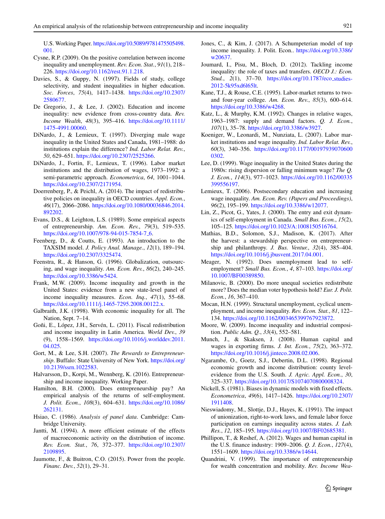U.S. Working Paper. [https://doi.org/10.5089/9781475505498.](https://doi.org/10.5089/9781475505498.001) [001.](https://doi.org/10.5089/9781475505498.001)

- <span id="page-16-22"></span>Cysne, R.P. (2009). On the positive correlation between income inequality and unemployment. *Rev. Econ. Stat.*, *91*(1), 218– 226. [https://doi.org/10.1162/rest.91.1.218.](https://doi.org/10.1162/rest.91.1.218)
- <span id="page-16-18"></span>Davies, S., & Guppy, N. (1997). Fields of study, college selectivity, and student inequalities in higher education. *Soc. Forces*, *75*(4), 1417–1438. [https://doi.org/10.2307/](https://doi.org/10.2307/2580677) [2580677.](https://doi.org/10.2307/2580677)
- <span id="page-16-6"></span>De Gregorio, J., & Lee, J. (2002). Education and income inequality: new evidence from cross-country data. *Rev. Income Wealth*, *48*(3), 395–416. [https://doi.org/10.1111/](https://doi.org/10.1111/1475-4991.00060) [1475-4991.00060.](https://doi.org/10.1111/1475-4991.00060)
- <span id="page-16-24"></span>DiNardo, J., & Lemieux, T. (1997). Diverging male wage inequality in the United States and Canada, 1981–1988: do institutions explain the difference? *Ind. Labor Relat. Rev.*, *50*, 629–651. [https://doi.org/10.2307/2525266.](https://doi.org/10.2307/2525266)
- <span id="page-16-23"></span>DiNardo, J., Fortin, F., Lemieux, T. (1996). Labor market institutions and the distribution of wages, 1973–1992: a semi-parametric approach. *Econometrica*, *64*, 1001–1044. [https://doi.org/10.2307/2171954.](https://doi.org/10.2307/2171954)
- <span id="page-16-35"></span>Doerrenberg, P., & Peichl, A. (2014). The impact of redistributive policies on inequality in OECD countries. *Appl. Econ.*, *46*(17), 2066–2086. [https://doi.org/10.1080/00036846.2014.](https://doi.org/10.1080/00036846.2014.892202) [892202.](https://doi.org/10.1080/00036846.2014.892202)
- <span id="page-16-11"></span>Evans, D.S., & Leighton, L.S. (1989). Some empirical aspects of entrepreneurship. *Am. Econ. Rev.*, *79*(3), 519–535. [https://doi.org/10.1007/978-94-015-7854-7](https://doi.org/10.1007/978-94-015-7854-7_6)<sub>-6</sub>.
- <span id="page-16-31"></span>Feenberg, D., & Coutts, E. (1993). An introduction to the TAXSIM model. *J. Policy Anal. Manage.*, *12*(1), 189–194. [https://doi.org/10.2307/3325474.](https://doi.org/10.2307/3325474)
- <span id="page-16-0"></span>Feenstra, R., & Hanson, G. (1996). Globalization, outsourcing, and wage inequality. *Am. Econ. Rev.*, *86*(2), 240–245. [https://doi.org/10.3386/w5424.](https://doi.org/10.3386/w5424)
- <span id="page-16-30"></span>Frank, M.W. (2009). Income inequality and growth in the United States: evidence from a new state-level panel of income inequality measures. *Econ. Inq.*, *47*(1), 55–68. [https://doi.org/10.1111/j.1465-7295.2008.00122.x.](https://doi.org/10.1111/j.1465-7295.2008.00122.x)
- <span id="page-16-5"></span>Galbraith, J.K. (1998). With economic inequality for all. The Nation, Sept. 7–14.
- <span id="page-16-27"></span>Goñi, E., López, J.H., Servén, L. (2011). Fiscal redistribution and income inequality in Latin America. *World Dev.*, *39* (9), 1558–1569. [https://doi.org/10.1016/j.worlddev.2011.](https://doi.org/10.1016/j.worlddev.2011.04.025) [04.025.](https://doi.org/10.1016/j.worlddev.2011.04.025)
- <span id="page-16-9"></span>Gort, M., & Lee, S.H. (2007). *The Rewards to Entrepreneurship*. Buffalo: State University of New York. [https://doi.org/](https://doi.org/10.2139/ssrn.1022583) [10.2139/ssrn.1022583.](https://doi.org/10.2139/ssrn.1022583)
- <span id="page-16-8"></span>Halvarsson, D., Korpi, M., Wennberg, K. (2016). Entrepreneurship and income inequality. Working Paper.
- <span id="page-16-10"></span>Hamilton, B.H. (2000). Does entrepreneurship pay? An empirical analysis of the returns of self-employment. *J. Polit. Econ.*, *108*(3), 604–631. [https://doi.org/10.1086/](https://doi.org/10.1086/262131) [262131.](https://doi.org/10.1086/262131)
- <span id="page-16-28"></span>Hsiao, C. (1986). *Analysis of panel data*. Cambridge: Cambridge University.
- <span id="page-16-20"></span>Jantti, M. (1994). A more efficient estimate of the effects of macroeconomic activity on the distribution of income. *Rev. Econ. Stat.*, *76*, 372–377. [https://doi.org/10.2307/](https://doi.org/10.2307/2109895) [2109895.](https://doi.org/10.2307/2109895)
- <span id="page-16-3"></span>Jaumotte, F., & Buitron, C.O. (2015). Power from the people. *Financ. Dev.*, *52*(1), 29–31.
- <span id="page-16-14"></span>Jones, C., & Kim, J. (2017). A Schumpeterian model of top income inequality. J. Polit. Econ.. [https://doi.org/10.3386/](https://doi.org/10.3386/w20637) [w20637.](https://doi.org/10.3386/w20637)
- <span id="page-16-4"></span>Joumard, I., Pisu, M., Bloch, D. (2012). Tackling income inequality: the role of taxes and transfers. *OECD J.: Econ. Stud.*, *2*(1), 37–70. [https://doi.org/10.1787/eco](https://doi.org/10.1787/eco_studies-2012-5k95xd6l65lt)\_studies-[2012-5k95xd6l65lt.](https://doi.org/10.1787/eco_studies-2012-5k95xd6l65lt)
- <span id="page-16-19"></span>Kane, T.J., & Rouse, C.E. (1995). Labor-market returns to twoand four-year college. *Am. Econ. Rev.*, *85*(3), 600–614. [https://doi.org/10.3386/w4268.](https://doi.org/10.3386/w4268)
- <span id="page-16-16"></span>Katz, L., & Murphy, K.M. (1992). Changes in relative wages, 1963–1987: supply and demand factors. *Q. J. Econ.*, *107*(1), 35–78. [https://doi.org/10.3386/w3927.](https://doi.org/10.3386/w3927)
- <span id="page-16-25"></span>Koeniger, W., Leonardi, M., Nunziata, L. (2007). Labor market institutions and wage inequality. *Ind. Labor Relat. Rev.*, *60*(3), 340–356. [https://doi.org/10.1177/00197939070600](https://doi.org/10.1177/001979390706000302) [0302.](https://doi.org/10.1177/001979390706000302)
- <span id="page-16-34"></span>Lee, D. (1999). Wage inequality in the United States during the 1980s: rising dispersion or falling minimum wage? *The Q. J. Econ.*, *114*(3), 977–1023. [https://doi.org/10.1162/00335](https://doi.org/10.1162/003355399556197) [399556197.](https://doi.org/10.1162/003355399556197)
- <span id="page-16-17"></span>Lemieux, T. (2006). Postsecondary education and increasing wage inequality. *Am. Econ. Rev. (Papers and Proceedings)*, *96*(2), 195–199. [https://doi.org/10.3386/w12077.](https://doi.org/10.3386/w12077)
- <span id="page-16-12"></span>Lin, Z., Picot, G., Yates, J. (2000). The entry and exit dynamics of self-employment in Canada. *Small Bus. Econ.*, *15*(2), 105–125. [https://doi.org/10.1023/A:1008150516764.](https://doi.org/10.1023/A:1008150516764)
- <span id="page-16-13"></span>Mathias, B.D., Solomon, S.J., Madison, K. (2017). After the harvest: a stewardship perspective on entrepreneurship and philanthropy. *J. Bus. Ventur.*, *32*(4), 385–404. [https://doi.org/10.1016/j.jbusvent.2017.04.001.](https://doi.org/10.1016/j.jbusvent.2017.04.001)
- <span id="page-16-15"></span>Meager, N. (1992). Does unemployment lead to selfemployment? *Small Bus. Econ.*, *4*, 87–103. [https://doi.org/](https://doi.org/10.1007/BF00389850) [10.1007/BF00389850.](https://doi.org/10.1007/BF00389850)
- <span id="page-16-26"></span>Milanovic, B. (2000). Do more unequal societies redistribute more? Does the median voter hypothesis hold? *Eur. J. Polit. Econ.*, *16*, 367–410.
- <span id="page-16-21"></span>Mocan, H.N. (1999). Structural unemployment, cyclical unemployment, and income inequality. *Rev. Econ. Stat.*, *81*, 122– 134. [https://doi.org/10.1162/003465399767923872.](https://doi.org/10.1162/003465399767923872)
- <span id="page-16-36"></span>Moore, W. (2009). Income inequality and industrial composition. *Public Adm. Q.*, *33*(4), 552–581.
- <span id="page-16-1"></span>Munch, J., & Skaksen, J. (2008). Human capital and wages in exporting firms. *J. Int. Econ.*, *75*(2), 363–372. [https://doi.org/10.1016/j.jinteco.2008.02.006.](https://doi.org/10.1016/j.jinteco.2008.02.006)
- <span id="page-16-33"></span>Ngarambe, O., Goetz, S.J., Debertin, D.L. (1998). Regional economic growth and income distribution: county levelevidence from the U.S. South. *J. Agric. Appl. Econ.*, *30*, 325–337. [https://doi.org/10.1017/S1074070800008324.](https://doi.org/10.1017/S1074070800008324)
- <span id="page-16-29"></span>Nickell, S. (1981). Biases in dynamic models with fixed effects. *Econometrica*, *49*(6), 1417–1426. [https://doi.org/10.2307/](https://doi.org/10.2307/1911408) [1911408.](https://doi.org/10.2307/1911408)
- <span id="page-16-32"></span>Nieswiadomy, M., Slottje, D.J., Hayes, K. (1991). The impact of unionization, right-to-work laws, and female labor force participation on earnings inequality across states. *J. Lab. Res.*, *12*, 185–195. [https://doi.org/10.1007/BF02685381.](https://doi.org/10.1007/BF02685381)
- <span id="page-16-2"></span>Phillipon, T., & Reshef, A. (2012). Wages and human capital in the U.S. finance industry: 1909–2006. *Q. J. Econ.*, *127*(4), 1551–1609. [https://doi.org/10.3386/w14644.](https://doi.org/10.3386/w14644)
- <span id="page-16-7"></span>Quandrini, V. (1999). The importance of entrepreneurship for wealth concentration and mobility. *Rev. Income Wea-*